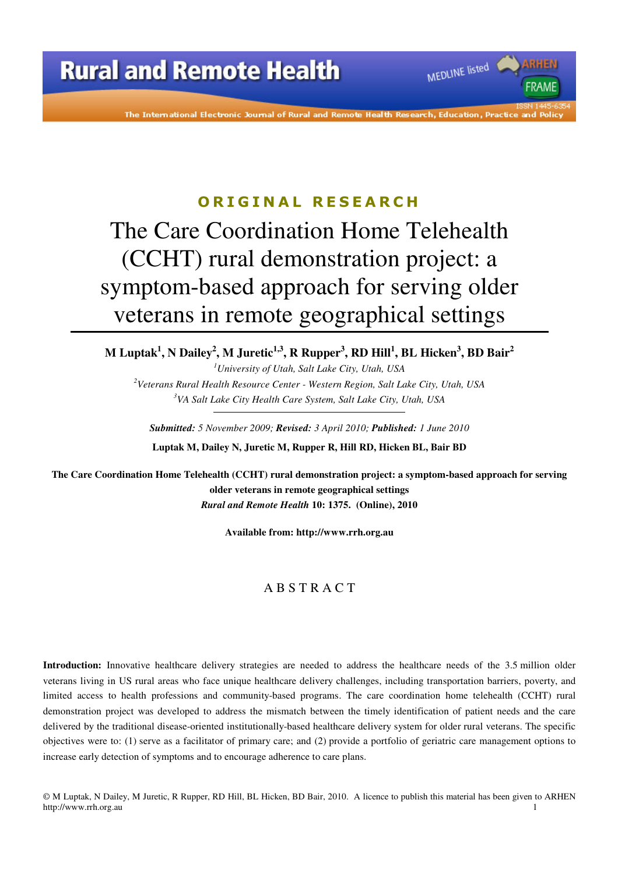The International Electronic Journal of Rural and Remote Health Research, Education, Practice

MEDLINE listed

**FRAMF** 

#### **O R I G I N A L R E S E A R C H**

# The Care Coordination Home Telehealth (CCHT) rural demonstration project: a symptom-based approach for serving older veterans in remote geographical settings

**M Luptak<sup>1</sup> , N Dailey<sup>2</sup> , M Juretic1,3, R Rupper<sup>3</sup> , RD Hill<sup>1</sup> , BL Hicken<sup>3</sup> , BD Bair<sup>2</sup>**

*<sup>1</sup>University of Utah, Salt Lake City, Utah, USA <sup>2</sup>Veterans Rural Health Resource Center - Western Region, Salt Lake City, Utah, USA <sup>3</sup>VA Salt Lake City Health Care System, Salt Lake City, Utah, USA* 

*Submitted: 5 November 2009; Revised: 3 April 2010; Published: 1 June 2010*  **Luptak M, Dailey N, Juretic M, Rupper R, Hill RD, Hicken BL, Bair BD** 

**The Care Coordination Home Telehealth (CCHT) rural demonstration project: a symptom-based approach for serving older veterans in remote geographical settings**  *Rural and Remote Health* **10: 1375. (Online), 2010** 

**Available from: http://www.rrh.org.au** 

#### A B S T R A C T

**Introduction:** Innovative healthcare delivery strategies are needed to address the healthcare needs of the 3.5 million older veterans living in US rural areas who face unique healthcare delivery challenges, including transportation barriers, poverty, and limited access to health professions and community-based programs. The care coordination home telehealth (CCHT) rural demonstration project was developed to address the mismatch between the timely identification of patient needs and the care delivered by the traditional disease-oriented institutionally-based healthcare delivery system for older rural veterans. The specific objectives were to: (1) serve as a facilitator of primary care; and (2) provide a portfolio of geriatric care management options to increase early detection of symptoms and to encourage adherence to care plans.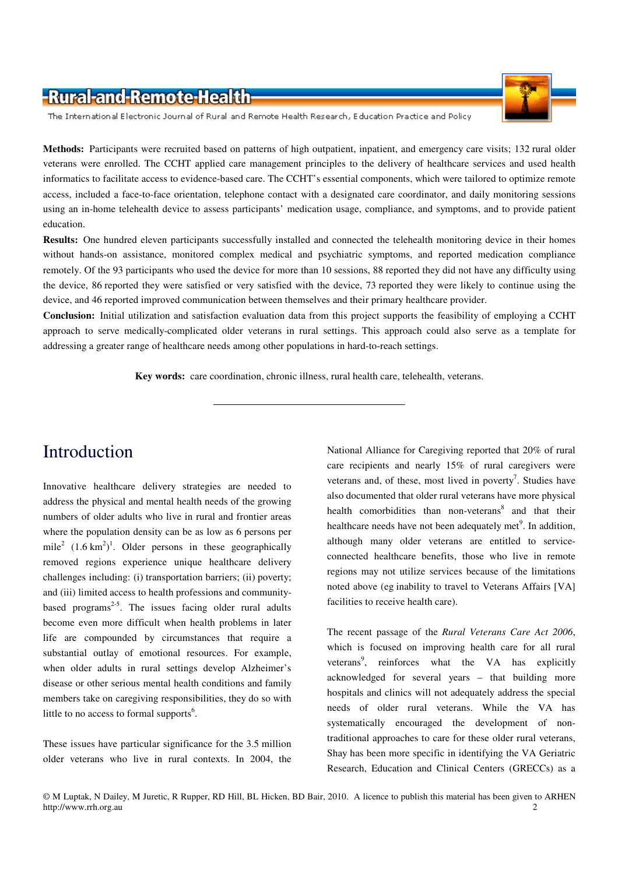

**Methods:** Participants were recruited based on patterns of high outpatient, inpatient, and emergency care visits; 132 rural older veterans were enrolled. The CCHT applied care management principles to the delivery of healthcare services and used health informatics to facilitate access to evidence-based care. The CCHT's essential components, which were tailored to optimize remote access, included a face-to-face orientation, telephone contact with a designated care coordinator, and daily monitoring sessions using an in-home telehealth device to assess participants' medication usage, compliance, and symptoms, and to provide patient education.

**Results:** One hundred eleven participants successfully installed and connected the telehealth monitoring device in their homes without hands-on assistance, monitored complex medical and psychiatric symptoms, and reported medication compliance remotely. Of the 93 participants who used the device for more than 10 sessions, 88 reported they did not have any difficulty using the device, 86 reported they were satisfied or very satisfied with the device, 73 reported they were likely to continue using the device, and 46 reported improved communication between themselves and their primary healthcare provider.

**Conclusion:** Initial utilization and satisfaction evaluation data from this project supports the feasibility of employing a CCHT approach to serve medically-complicated older veterans in rural settings. This approach could also serve as a template for addressing a greater range of healthcare needs among other populations in hard-to-reach settings.

**Key words:** care coordination, chronic illness, rural health care, telehealth, veterans.

# Introduction

Innovative healthcare delivery strategies are needed to address the physical and mental health needs of the growing numbers of older adults who live in rural and frontier areas where the population density can be as low as 6 persons per mile<sup>2</sup>  $(1.6 \text{ km}^2)^1$ . Older persons in these geographically removed regions experience unique healthcare delivery challenges including: (i) transportation barriers; (ii) poverty; and (iii) limited access to health professions and communitybased programs<sup> $2-5$ </sup>. The issues facing older rural adults become even more difficult when health problems in later life are compounded by circumstances that require a substantial outlay of emotional resources. For example, when older adults in rural settings develop Alzheimer's disease or other serious mental health conditions and family members take on caregiving responsibilities, they do so with little to no access to formal supports<sup>6</sup>.

These issues have particular significance for the 3.5 million older veterans who live in rural contexts. In 2004, the National Alliance for Caregiving reported that 20% of rural care recipients and nearly 15% of rural caregivers were veterans and, of these, most lived in poverty<sup>7</sup>. Studies have also documented that older rural veterans have more physical health comorbidities than non-veterans<sup>8</sup> and that their healthcare needs have not been adequately met<sup>9</sup>. In addition, although many older veterans are entitled to serviceconnected healthcare benefits, those who live in remote regions may not utilize services because of the limitations noted above (eg inability to travel to Veterans Affairs [VA] facilities to receive health care).

The recent passage of the *Rural Veterans Care Act 2006*, which is focused on improving health care for all rural veterans<sup>9</sup>, reinforces what the VA has explicitly acknowledged for several years – that building more hospitals and clinics will not adequately address the special needs of older rural veterans. While the VA has systematically encouraged the development of nontraditional approaches to care for these older rural veterans, Shay has been more specific in identifying the VA Geriatric Research, Education and Clinical Centers (GRECCs) as a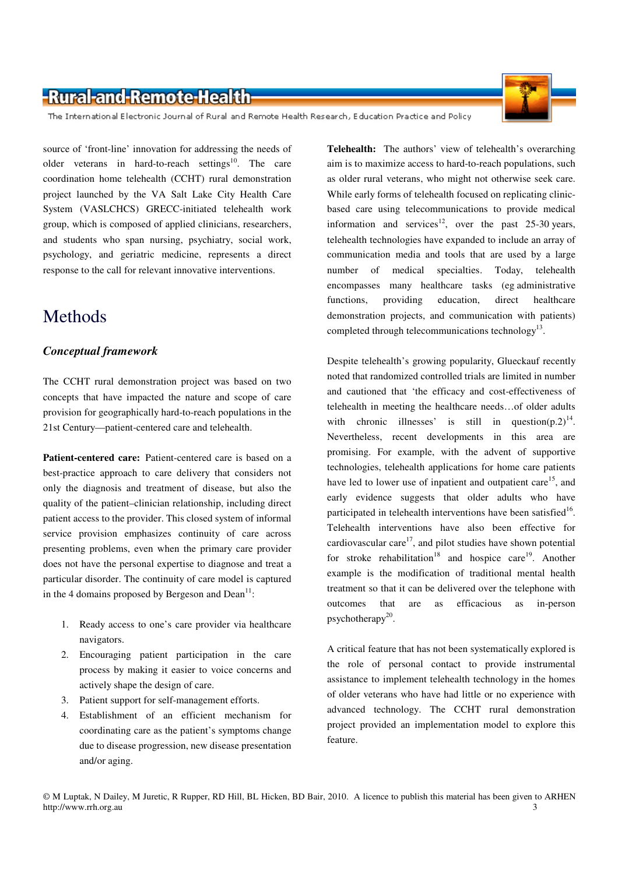The International Electronic Journal of Rural and Remote Health Research, Education Practice and Policy

source of 'front-line' innovation for addressing the needs of older veterans in hard-to-reach settings<sup>10</sup>. The care coordination home telehealth (CCHT) rural demonstration project launched by the VA Salt Lake City Health Care System (VASLCHCS) GRECC-initiated telehealth work group, which is composed of applied clinicians, researchers, and students who span nursing, psychiatry, social work, psychology, and geriatric medicine, represents a direct response to the call for relevant innovative interventions.

#### Methods

#### *Conceptual framework*

The CCHT rural demonstration project was based on two concepts that have impacted the nature and scope of care provision for geographically hard-to-reach populations in the 21st Century—patient-centered care and telehealth.

**Patient-centered care:** Patient-centered care is based on a best-practice approach to care delivery that considers not only the diagnosis and treatment of disease, but also the quality of the patient–clinician relationship, including direct patient access to the provider. This closed system of informal service provision emphasizes continuity of care across presenting problems, even when the primary care provider does not have the personal expertise to diagnose and treat a particular disorder. The continuity of care model is captured in the 4 domains proposed by Bergeson and  $Dean<sup>11</sup>$ :

- 1. Ready access to one's care provider via healthcare navigators.
- 2. Encouraging patient participation in the care process by making it easier to voice concerns and actively shape the design of care.
- 3. Patient support for self-management efforts.
- 4. Establishment of an efficient mechanism for coordinating care as the patient's symptoms change due to disease progression, new disease presentation and/or aging.

**Telehealth:** The authors' view of telehealth's overarching aim is to maximize access to hard-to-reach populations, such as older rural veterans, who might not otherwise seek care. While early forms of telehealth focused on replicating clinicbased care using telecommunications to provide medical information and services<sup>12</sup>, over the past 25-30 years, telehealth technologies have expanded to include an array of communication media and tools that are used by a large number of medical specialties. Today, telehealth encompasses many healthcare tasks (eg administrative functions, providing education, direct healthcare demonstration projects, and communication with patients) completed through telecommunications technology $^{13}$ .

Despite telehealth's growing popularity, Glueckauf recently noted that randomized controlled trials are limited in number and cautioned that 'the efficacy and cost-effectiveness of telehealth in meeting the healthcare needs…of older adults with chronic illnesses' is still in question $(p.2)^{14}$ . Nevertheless, recent developments in this area are promising. For example, with the advent of supportive technologies, telehealth applications for home care patients have led to lower use of inpatient and outpatient care<sup>15</sup>, and early evidence suggests that older adults who have participated in telehealth interventions have been satisfied $16$ . Telehealth interventions have also been effective for cardiovascular care $17$ , and pilot studies have shown potential for stroke rehabilitation<sup>18</sup> and hospice care<sup>19</sup>. Another example is the modification of traditional mental health treatment so that it can be delivered over the telephone with outcomes that are as efficacious as in-person psychotherapy<sup>20</sup>.

A critical feature that has not been systematically explored is the role of personal contact to provide instrumental assistance to implement telehealth technology in the homes of older veterans who have had little or no experience with advanced technology. The CCHT rural demonstration project provided an implementation model to explore this feature.

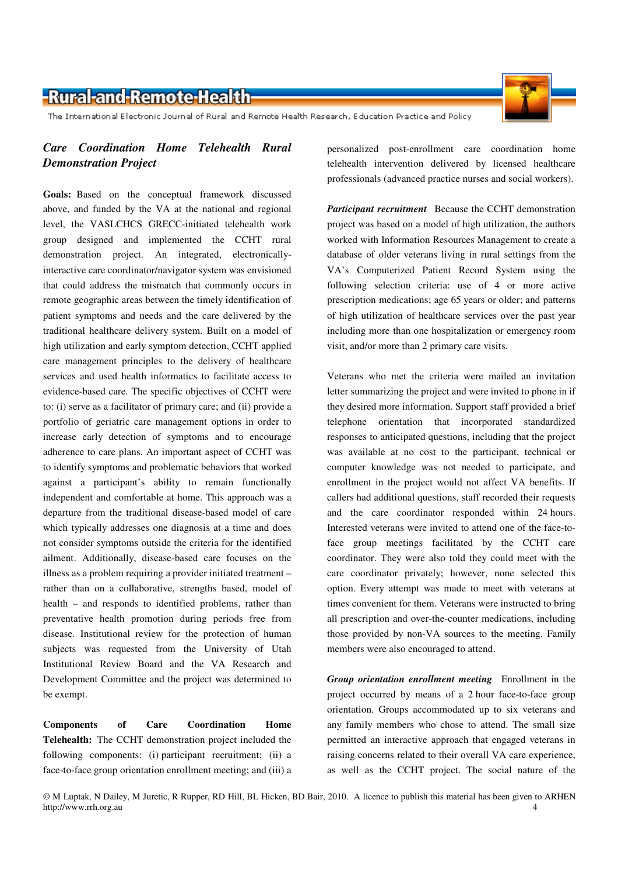The International Electronic Journal of Rural and Remote Health Research, Education Practice and Policy

#### *Care Coordination Home Telehealth Rural Demonstration Project*

**Goals:** Based on the conceptual framework discussed above, and funded by the VA at the national and regional level, the VASLCHCS GRECC-initiated telehealth work group designed and implemented the CCHT rural demonstration project. An integrated, electronicallyinteractive care coordinator/navigator system was envisioned that could address the mismatch that commonly occurs in remote geographic areas between the timely identification of patient symptoms and needs and the care delivered by the traditional healthcare delivery system. Built on a model of high utilization and early symptom detection, CCHT applied care management principles to the delivery of healthcare services and used health informatics to facilitate access to evidence-based care. The specific objectives of CCHT were to: (i) serve as a facilitator of primary care; and (ii) provide a portfolio of geriatric care management options in order to increase early detection of symptoms and to encourage adherence to care plans. An important aspect of CCHT was to identify symptoms and problematic behaviors that worked against a participant's ability to remain functionally independent and comfortable at home. This approach was a departure from the traditional disease-based model of care which typically addresses one diagnosis at a time and does not consider symptoms outside the criteria for the identified ailment. Additionally, disease-based care focuses on the illness as a problem requiring a provider initiated treatment – rather than on a collaborative, strengths based, model of health – and responds to identified problems, rather than preventative health promotion during periods free from disease. Institutional review for the protection of human subjects was requested from the University of Utah Institutional Review Board and the VA Research and Development Committee and the project was determined to be exempt.

**Components of Care Coordination Home Telehealth:** The CCHT demonstration project included the following components: (i) participant recruitment; (ii) a face-to-face group orientation enrollment meeting; and (iii) a

personalized post-enrollment care coordination home telehealth intervention delivered by licensed healthcare professionals (advanced practice nurses and social workers).

*Participant recruitment* Because the CCHT demonstration project was based on a model of high utilization, the authors worked with Information Resources Management to create a database of older veterans living in rural settings from the VA's Computerized Patient Record System using the following selection criteria: use of 4 or more active prescription medications; age 65 years or older; and patterns of high utilization of healthcare services over the past year including more than one hospitalization or emergency room visit, and/or more than 2 primary care visits.

Veterans who met the criteria were mailed an invitation letter summarizing the project and were invited to phone in if they desired more information. Support staff provided a brief telephone orientation that incorporated standardized responses to anticipated questions, including that the project was available at no cost to the participant, technical or computer knowledge was not needed to participate, and enrollment in the project would not affect VA benefits. If callers had additional questions, staff recorded their requests and the care coordinator responded within 24 hours. Interested veterans were invited to attend one of the face-toface group meetings facilitated by the CCHT care coordinator. They were also told they could meet with the care coordinator privately; however, none selected this option. Every attempt was made to meet with veterans at times convenient for them. Veterans were instructed to bring all prescription and over-the-counter medications, including those provided by non-VA sources to the meeting. Family members were also encouraged to attend.

*Group orientation enrollment meeting* Enrollment in the project occurred by means of a 2 hour face-to-face group orientation. Groups accommodated up to six veterans and any family members who chose to attend. The small size permitted an interactive approach that engaged veterans in raising concerns related to their overall VA care experience, as well as the CCHT project. The social nature of the

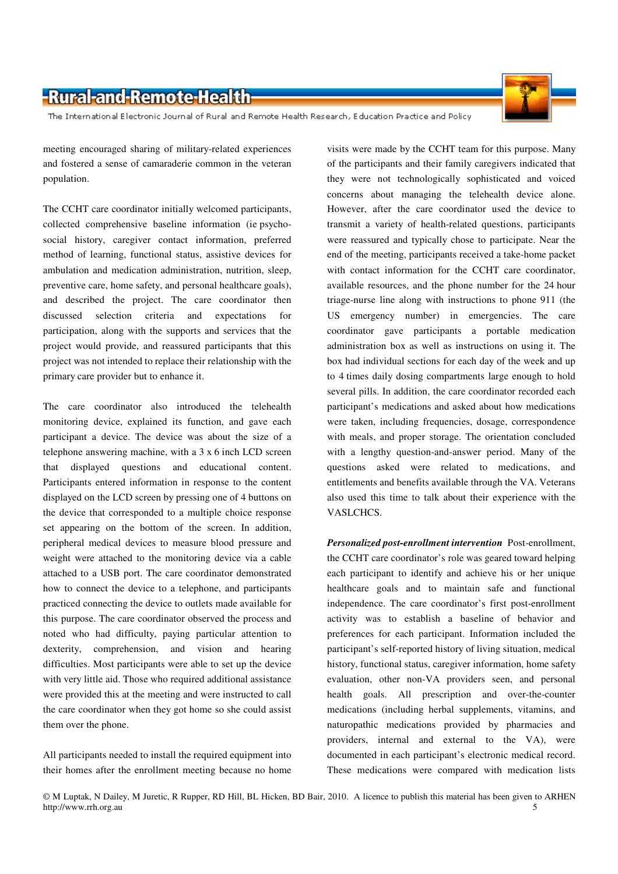The International Electronic Journal of Rural and Remote Health Research, Education Practice and Policy

meeting encouraged sharing of military-related experiences and fostered a sense of camaraderie common in the veteran population.

The CCHT care coordinator initially welcomed participants, collected comprehensive baseline information (ie psychosocial history, caregiver contact information, preferred method of learning, functional status, assistive devices for ambulation and medication administration, nutrition, sleep, preventive care, home safety, and personal healthcare goals), and described the project. The care coordinator then discussed selection criteria and expectations for participation, along with the supports and services that the project would provide, and reassured participants that this project was not intended to replace their relationship with the primary care provider but to enhance it.

The care coordinator also introduced the telehealth monitoring device, explained its function, and gave each participant a device. The device was about the size of a telephone answering machine, with a 3 x 6 inch LCD screen that displayed questions and educational content. Participants entered information in response to the content displayed on the LCD screen by pressing one of 4 buttons on the device that corresponded to a multiple choice response set appearing on the bottom of the screen. In addition, peripheral medical devices to measure blood pressure and weight were attached to the monitoring device via a cable attached to a USB port. The care coordinator demonstrated how to connect the device to a telephone, and participants practiced connecting the device to outlets made available for this purpose. The care coordinator observed the process and noted who had difficulty, paying particular attention to dexterity, comprehension, and vision and hearing difficulties. Most participants were able to set up the device with very little aid. Those who required additional assistance were provided this at the meeting and were instructed to call the care coordinator when they got home so she could assist them over the phone.

All participants needed to install the required equipment into their homes after the enrollment meeting because no home

visits were made by the CCHT team for this purpose. Many of the participants and their family caregivers indicated that they were not technologically sophisticated and voiced concerns about managing the telehealth device alone. However, after the care coordinator used the device to transmit a variety of health-related questions, participants were reassured and typically chose to participate. Near the end of the meeting, participants received a take-home packet with contact information for the CCHT care coordinator, available resources, and the phone number for the 24 hour triage-nurse line along with instructions to phone 911 (the US emergency number) in emergencies. The care coordinator gave participants a portable medication administration box as well as instructions on using it. The box had individual sections for each day of the week and up to 4 times daily dosing compartments large enough to hold several pills. In addition, the care coordinator recorded each participant's medications and asked about how medications were taken, including frequencies, dosage, correspondence with meals, and proper storage. The orientation concluded with a lengthy question-and-answer period. Many of the questions asked were related to medications, and entitlements and benefits available through the VA. Veterans also used this time to talk about their experience with the VASLCHCS.

*Personalized post-enrollment intervention* Post-enrollment, the CCHT care coordinator's role was geared toward helping each participant to identify and achieve his or her unique healthcare goals and to maintain safe and functional independence. The care coordinator's first post-enrollment activity was to establish a baseline of behavior and preferences for each participant. Information included the participant's self-reported history of living situation, medical history, functional status, caregiver information, home safety evaluation, other non-VA providers seen, and personal health goals. All prescription and over-the-counter medications (including herbal supplements, vitamins, and naturopathic medications provided by pharmacies and providers, internal and external to the VA), were documented in each participant's electronic medical record. These medications were compared with medication lists

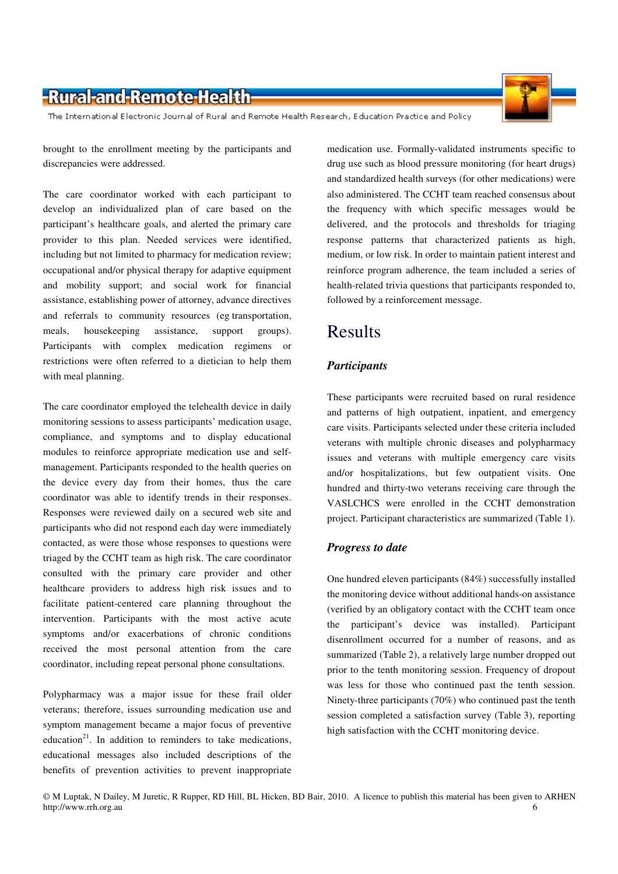The International Electronic Journal of Rural and Remote Health Research, Education Practice and Policy

brought to the enrollment meeting by the participants and discrepancies were addressed.

The care coordinator worked with each participant to develop an individualized plan of care based on the participant's healthcare goals, and alerted the primary care provider to this plan. Needed services were identified, including but not limited to pharmacy for medication review; occupational and/or physical therapy for adaptive equipment and mobility support; and social work for financial assistance, establishing power of attorney, advance directives and referrals to community resources (eg transportation, meals, housekeeping assistance, support groups). Participants with complex medication regimens or restrictions were often referred to a dietician to help them with meal planning.

The care coordinator employed the telehealth device in daily monitoring sessions to assess participants' medication usage, compliance, and symptoms and to display educational modules to reinforce appropriate medication use and selfmanagement. Participants responded to the health queries on the device every day from their homes, thus the care coordinator was able to identify trends in their responses. Responses were reviewed daily on a secured web site and participants who did not respond each day were immediately contacted, as were those whose responses to questions were triaged by the CCHT team as high risk. The care coordinator consulted with the primary care provider and other healthcare providers to address high risk issues and to facilitate patient-centered care planning throughout the intervention. Participants with the most active acute symptoms and/or exacerbations of chronic conditions received the most personal attention from the care coordinator, including repeat personal phone consultations.

Polypharmacy was a major issue for these frail older veterans; therefore, issues surrounding medication use and symptom management became a major focus of preventive education<sup>21</sup>. In addition to reminders to take medications, educational messages also included descriptions of the benefits of prevention activities to prevent inappropriate

medication use. Formally-validated instruments specific to drug use such as blood pressure monitoring (for heart drugs) and standardized health surveys (for other medications) were also administered. The CCHT team reached consensus about the frequency with which specific messages would be delivered, and the protocols and thresholds for triaging response patterns that characterized patients as high, medium, or low risk. In order to maintain patient interest and reinforce program adherence, the team included a series of health-related trivia questions that participants responded to, followed by a reinforcement message.

# Results

#### *Participants*

These participants were recruited based on rural residence and patterns of high outpatient, inpatient, and emergency care visits. Participants selected under these criteria included veterans with multiple chronic diseases and polypharmacy issues and veterans with multiple emergency care visits and/or hospitalizations, but few outpatient visits. One hundred and thirty-two veterans receiving care through the VASLCHCS were enrolled in the CCHT demonstration project. Participant characteristics are summarized (Table 1).

#### *Progress to date*

One hundred eleven participants (84%) successfully installed the monitoring device without additional hands-on assistance (verified by an obligatory contact with the CCHT team once the participant's device was installed). Participant disenrollment occurred for a number of reasons, and as summarized (Table 2), a relatively large number dropped out prior to the tenth monitoring session. Frequency of dropout was less for those who continued past the tenth session. Ninety-three participants (70%) who continued past the tenth session completed a satisfaction survey (Table 3), reporting high satisfaction with the CCHT monitoring device.

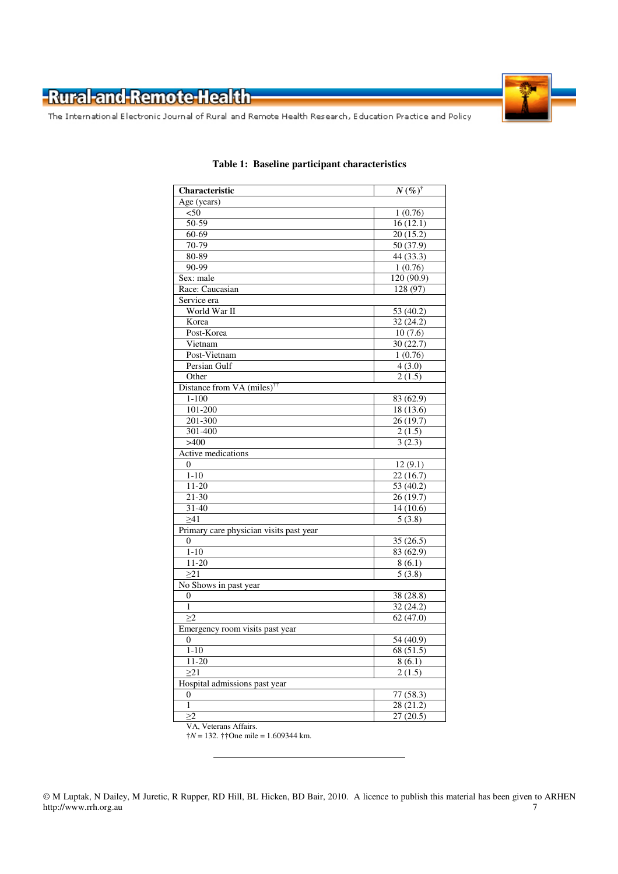

The International Electronic Journal of Rural and Remote Health Research, Education Practice and Policy

| Characteristic                          | $N(\%)^{\dagger}$ |  |  |  |
|-----------------------------------------|-------------------|--|--|--|
| Age (years)                             |                   |  |  |  |
| $50$                                    | 1(0.76)           |  |  |  |
| 50-59                                   | 16(12.1)          |  |  |  |
| 60-69                                   | 20(15.2)          |  |  |  |
| 70-79                                   | 50(37.9)          |  |  |  |
| 80-89                                   | 44 (33.3)         |  |  |  |
| 90-99                                   | 1(0.76)           |  |  |  |
| Sex: male                               | 120 (90.9)        |  |  |  |
| Race: Caucasian                         | 128(97)           |  |  |  |
| Service era                             |                   |  |  |  |
| World War II                            | 53(40.2)          |  |  |  |
| Korea                                   | 32(24.2)          |  |  |  |
| Post-Korea                              | 10(7.6)           |  |  |  |
| Vietnam                                 | 30(22.7)          |  |  |  |
| Post-Vietnam                            | 1(0.76)           |  |  |  |
| Persian Gulf                            | 4(3.0)            |  |  |  |
| Other                                   | 2(1.5)            |  |  |  |
| Distance from VA (miles) <sup>††</sup>  |                   |  |  |  |
| $1 - 100$                               | 83 (62.9)         |  |  |  |
| 101-200                                 | 18(13.6)          |  |  |  |
| 201-300                                 | 26(19.7)          |  |  |  |
| 301-400                                 | 2(1.5)            |  |  |  |
| >400                                    | 3(2.3)            |  |  |  |
| Active medications                      |                   |  |  |  |
| 0                                       | 12(9.1)           |  |  |  |
| $1 - 10$                                | 22(16.7)          |  |  |  |
| $11-20$                                 | 53(40.2)          |  |  |  |
| $21 - 30$                               | 26(19.7)          |  |  |  |
| $31 - 40$                               | 14(10.6)          |  |  |  |
| >41                                     | 5(3.8)            |  |  |  |
| Primary care physician visits past year |                   |  |  |  |
| 0                                       | 35(26.5)          |  |  |  |
| $1 - 10$                                | 83(62.9)          |  |  |  |
| $11 - 20$                               | 8(6.1)            |  |  |  |
| $\overline{\geq}21$                     | 5(3.8)            |  |  |  |
| No Shows in past year                   |                   |  |  |  |
| $\overline{0}$                          | 38 (28.8)         |  |  |  |
| $\mathbf{1}$                            | 32(24.2)          |  |  |  |
| >2                                      | 62(47.0)          |  |  |  |
| Emergency room visits past year         |                   |  |  |  |
| $\overline{0}$                          | 54 (40.9)         |  |  |  |
| $1 - 10$                                | 68 (51.5)         |  |  |  |
| $11-20$                                 | 8(6.1)            |  |  |  |
| >21                                     | 2(1.5)            |  |  |  |
| Hospital admissions past year           |                   |  |  |  |
| $\overline{0}$                          | 77 (58.3)         |  |  |  |
| $\overline{1}$                          | 28 (21.2)         |  |  |  |
| $\geq$ 2                                | 27(20.5)          |  |  |  |

#### **Table 1: Baseline participant characteristics**

VA, Veterans Affairs. †*N* = 132. ††One mile = 1.609344 km.

<sup>©</sup> M Luptak, N Dailey, M Juretic, R Rupper, RD Hill, BL Hicken, BD Bair, 2010. A licence to publish this material has been given to ARHEN http://www.rrh.org.au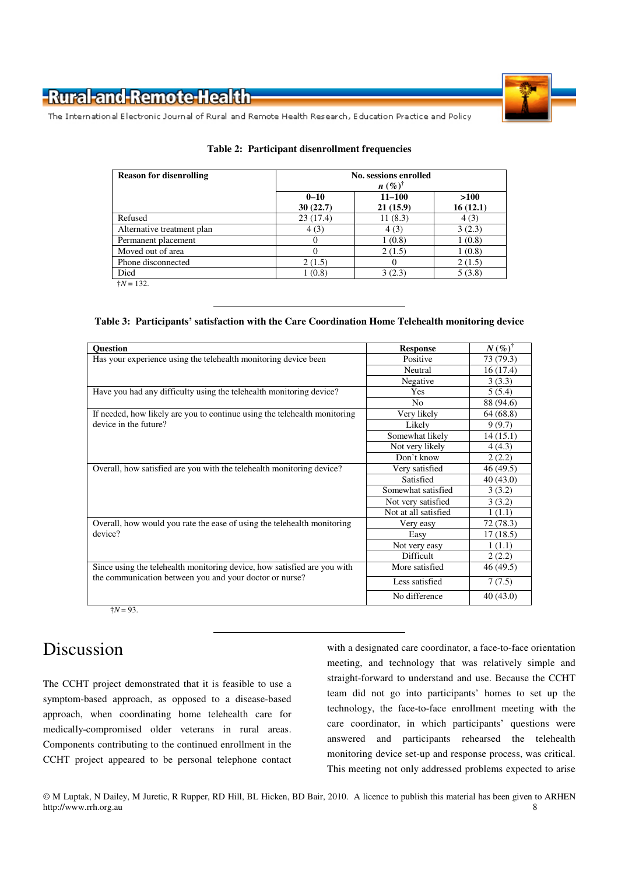

The International Electronic Journal of Rural and Remote Health Research, Education Practice and Policy

| $0 - 10$ | $11 - 100$       |                    |
|----------|------------------|--------------------|
| 30(22.7) | 21(15.9)         | $>100$<br>16(12.1) |
| 23(17.4) | 11(8.3)          | 4(3)               |
| 4(3)     | 4(3)             | 3(2.3)             |
| $\theta$ | 1(0.8)           | 1(0.8)             |
|          | 2(1.5)           | 1(0.8)             |
|          | $\theta$         | 2(1.5)             |
|          | 3(2.3)           | 5(3.8)             |
|          | 2(1.5)<br>1(0.8) |                    |

#### **Table 2: Participant disenrollment frequencies**

**Table 3: Participants' satisfaction with the Care Coordination Home Telehealth monitoring device** 

| <b>Ouestion</b>                                                           | <b>Response</b>      | $N(\%)^{\dagger}$ |
|---------------------------------------------------------------------------|----------------------|-------------------|
| Has your experience using the telehealth monitoring device been           | Positive             |                   |
|                                                                           | Neutral              | 16 (17.4)         |
|                                                                           | Negative             | 3(3.3)            |
| Have you had any difficulty using the telehealth monitoring device?       | Yes                  | 5(5.4)            |
|                                                                           | N <sub>0</sub>       | 88 (94.6)         |
| If needed, how likely are you to continue using the telehealth monitoring | Very likely          | 64 (68.8)         |
| device in the future?                                                     | Likely               | 9(9.7)            |
|                                                                           | Somewhat likely      | 14(15.1)          |
|                                                                           | Not very likely      | 4(4.3)            |
|                                                                           | Don't know           | 2(2.2)            |
| Overall, how satisfied are you with the telehealth monitoring device?     | Very satisfied       | 46 (49.5)         |
|                                                                           | Satisfied            | 40(43.0)          |
|                                                                           | Somewhat satisfied   | 3(3.2)            |
|                                                                           | Not very satisfied   | 3(3.2)            |
|                                                                           | Not at all satisfied | 1(1.1)            |
| Overall, how would you rate the ease of using the telehealth monitoring   | Very easy            | 72 (78.3)         |
| device?<br>Easy                                                           |                      | 17 (18.5)         |
|                                                                           | Not very easy        | 1(1.1)            |
|                                                                           | Difficult            | 2(2.2)            |
| Since using the telehealth monitoring device, how satisfied are you with  | More satisfied       | 46 (49.5)         |
| the communication between you and your doctor or nurse?                   | Less satisfied       | 7(7.5)            |
|                                                                           | No difference        | 40(43.0)          |

 $\dagger N = 93$ .

# Discussion

The CCHT project demonstrated that it is feasible to use a symptom-based approach, as opposed to a disease-based approach, when coordinating home telehealth care for medically-compromised older veterans in rural areas. Components contributing to the continued enrollment in the CCHT project appeared to be personal telephone contact with a designated care coordinator, a face-to-face orientation meeting, and technology that was relatively simple and straight-forward to understand and use. Because the CCHT team did not go into participants' homes to set up the technology, the face-to-face enrollment meeting with the care coordinator, in which participants' questions were answered and participants rehearsed the telehealth monitoring device set-up and response process, was critical. This meeting not only addressed problems expected to arise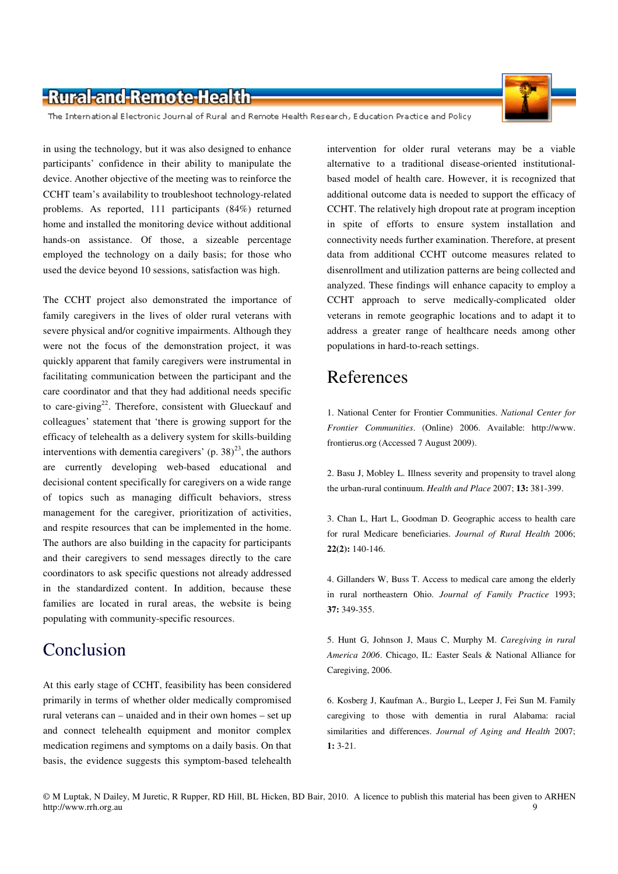The International Electronic Journal of Rural and Remote Health Research, Education Practice and Policy

in using the technology, but it was also designed to enhance participants' confidence in their ability to manipulate the device. Another objective of the meeting was to reinforce the CCHT team's availability to troubleshoot technology-related problems. As reported, 111 participants (84%) returned home and installed the monitoring device without additional hands-on assistance. Of those, a sizeable percentage employed the technology on a daily basis; for those who used the device beyond 10 sessions, satisfaction was high.

The CCHT project also demonstrated the importance of family caregivers in the lives of older rural veterans with severe physical and/or cognitive impairments. Although they were not the focus of the demonstration project, it was quickly apparent that family caregivers were instrumental in facilitating communication between the participant and the care coordinator and that they had additional needs specific to care-giving<sup>22</sup>. Therefore, consistent with Glueckauf and colleagues' statement that 'there is growing support for the efficacy of telehealth as a delivery system for skills-building interventions with dementia caregivers' (p. 38)<sup>23</sup>, the authors are currently developing web-based educational and decisional content specifically for caregivers on a wide range of topics such as managing difficult behaviors, stress management for the caregiver, prioritization of activities, and respite resources that can be implemented in the home. The authors are also building in the capacity for participants and their caregivers to send messages directly to the care coordinators to ask specific questions not already addressed in the standardized content. In addition, because these families are located in rural areas, the website is being populating with community-specific resources.

### Conclusion

At this early stage of CCHT, feasibility has been considered primarily in terms of whether older medically compromised rural veterans can – unaided and in their own homes – set up and connect telehealth equipment and monitor complex medication regimens and symptoms on a daily basis. On that basis, the evidence suggests this symptom-based telehealth

intervention for older rural veterans may be a viable alternative to a traditional disease-oriented institutionalbased model of health care. However, it is recognized that additional outcome data is needed to support the efficacy of CCHT. The relatively high dropout rate at program inception in spite of efforts to ensure system installation and connectivity needs further examination. Therefore, at present data from additional CCHT outcome measures related to disenrollment and utilization patterns are being collected and analyzed. These findings will enhance capacity to employ a CCHT approach to serve medically-complicated older veterans in remote geographic locations and to adapt it to address a greater range of healthcare needs among other populations in hard-to-reach settings.

# References

1. National Center for Frontier Communities. *National Center for Frontier Communities*. (Online) 2006. Available: http://www. frontierus.org (Accessed 7 August 2009).

2. Basu J, Mobley L. Illness severity and propensity to travel along the urban-rural continuum. *Health and Place* 2007; **13:** 381-399.

3. Chan L, Hart L, Goodman D. Geographic access to health care for rural Medicare beneficiaries. *Journal of Rural Health* 2006; **22(2):** 140-146.

4. Gillanders W, Buss T. Access to medical care among the elderly in rural northeastern Ohio. *Journal of Family Practice* 1993; **37:** 349-355.

5. Hunt G, Johnson J, Maus C, Murphy M. *Caregiving in rural America 2006*. Chicago, IL: Easter Seals & National Alliance for Caregiving, 2006.

6. Kosberg J, Kaufman A., Burgio L, Leeper J, Fei Sun M. Family caregiving to those with dementia in rural Alabama: racial similarities and differences. *Journal of Aging and Health* 2007; **1:** 3-21.